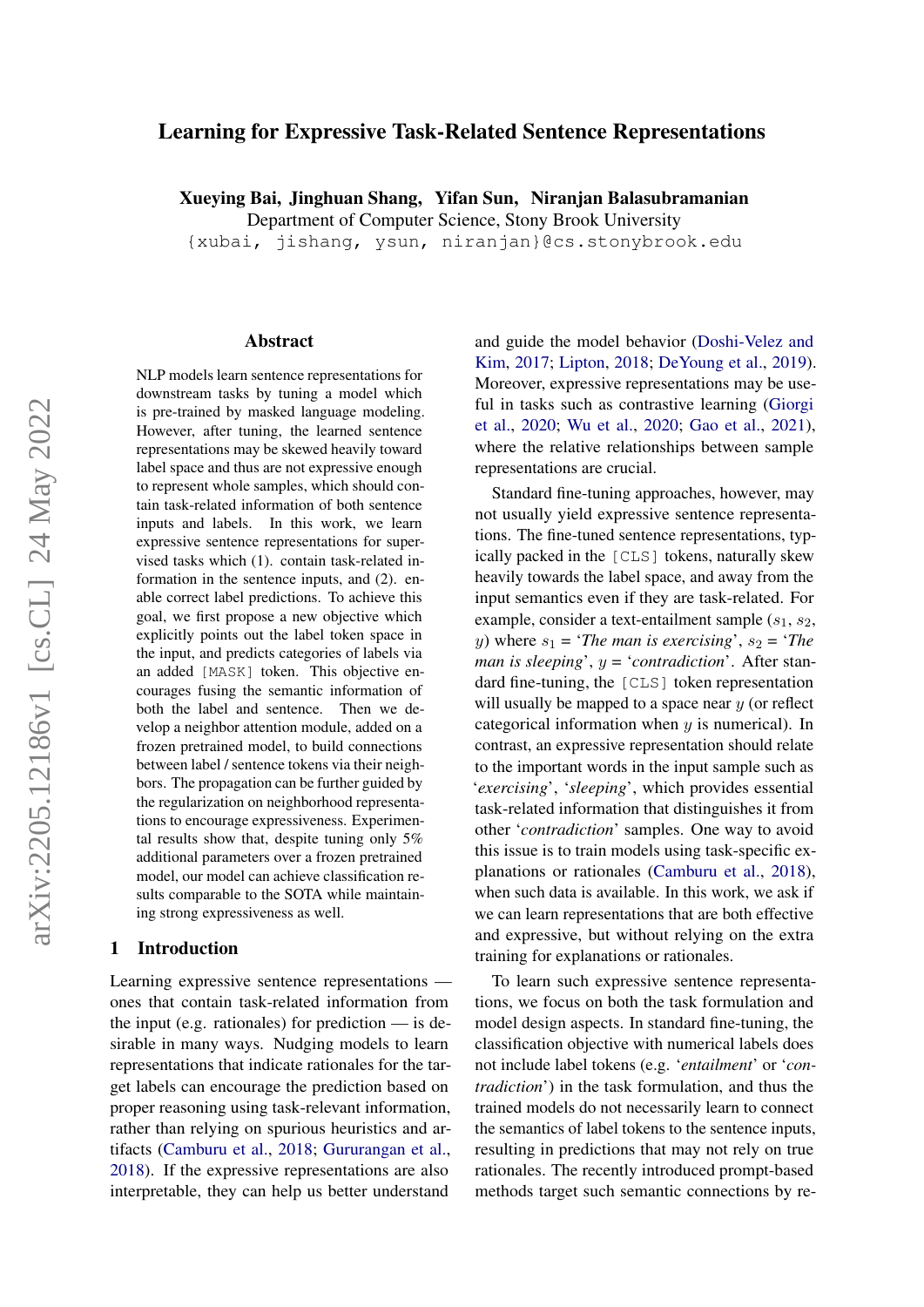# <span id="page-0-0"></span>Learning for Expressive Task-Related Sentence Representations

Xueying Bai, Jinghuan Shang, Yifan Sun, Niranjan Balasubramanian

Department of Computer Science, Stony Brook University

{xubai, jishang, ysun, niranjan}@cs.stonybrook.edu

#### Abstract

NLP models learn sentence representations for downstream tasks by tuning a model which is pre-trained by masked language modeling. However, after tuning, the learned sentence representations may be skewed heavily toward label space and thus are not expressive enough to represent whole samples, which should contain task-related information of both sentence inputs and labels. In this work, we learn expressive sentence representations for supervised tasks which (1). contain task-related information in the sentence inputs, and (2). enable correct label predictions. To achieve this goal, we first propose a new objective which explicitly points out the label token space in the input, and predicts categories of labels via an added [MASK] token. This objective encourages fusing the semantic information of both the label and sentence. Then we develop a neighbor attention module, added on a frozen pretrained model, to build connections between label / sentence tokens via their neighbors. The propagation can be further guided by the regularization on neighborhood representations to encourage expressiveness. Experimental results show that, despite tuning only 5% additional parameters over a frozen pretrained model, our model can achieve classification results comparable to the SOTA while maintaining strong expressiveness as well.

#### 1 Introduction

Learning expressive sentence representations ones that contain task-related information from the input (e.g. rationales) for prediction  $\frac{1}{x}$  is desirable in many ways. Nudging models to learn representations that indicate rationales for the target labels can encourage the prediction based on proper reasoning using task-relevant information, rather than relying on spurious heuristics and artifacts [\(Camburu et al.,](#page-8-0) [2018;](#page-8-0) [Gururangan et al.,](#page-8-1) [2018\)](#page-8-1). If the expressive representations are also interpretable, they can help us better understand

and guide the model behavior [\(Doshi-Velez and](#page-8-2) [Kim,](#page-8-2) [2017;](#page-8-2) [Lipton,](#page-8-3) [2018;](#page-8-3) [DeYoung et al.,](#page-8-4) [2019\)](#page-8-4). Moreover, expressive representations may be useful in tasks such as contrastive learning [\(Giorgi](#page-8-5) [et al.,](#page-8-5) [2020;](#page-8-5) [Wu et al.,](#page-9-0) [2020;](#page-9-0) [Gao et al.,](#page-8-6) [2021\)](#page-8-6), where the relative relationships between sample representations are crucial.

Standard fine-tuning approaches, however, may not usually yield expressive sentence representations. The fine-tuned sentence representations, typically packed in the [CLS] tokens, naturally skew heavily towards the label space, and away from the input semantics even if they are task-related. For example, consider a text-entailment sample  $(s_1, s_2,$ y) where  $s_1$  = '*The man is exercising*',  $s_2$  = '*The man is sleeping*', y = '*contradiction*'. After standard fine-tuning, the [CLS] token representation will usually be mapped to a space near  $y$  (or reflect categorical information when  $y$  is numerical). In contrast, an expressive representation should relate to the important words in the input sample such as '*exercising*', '*sleeping*', which provides essential task-related information that distinguishes it from other '*contradiction*' samples. One way to avoid this issue is to train models using task-specific explanations or rationales [\(Camburu et al.,](#page-8-0) [2018\)](#page-8-0), when such data is available. In this work, we ask if we can learn representations that are both effective and expressive, but without relying on the extra training for explanations or rationales.

To learn such expressive sentence representations, we focus on both the task formulation and model design aspects. In standard fine-tuning, the classification objective with numerical labels does not include label tokens (e.g. '*entailment*' or '*contradiction*') in the task formulation, and thus the trained models do not necessarily learn to connect the semantics of label tokens to the sentence inputs, resulting in predictions that may not rely on true rationales. The recently introduced prompt-based methods target such semantic connections by re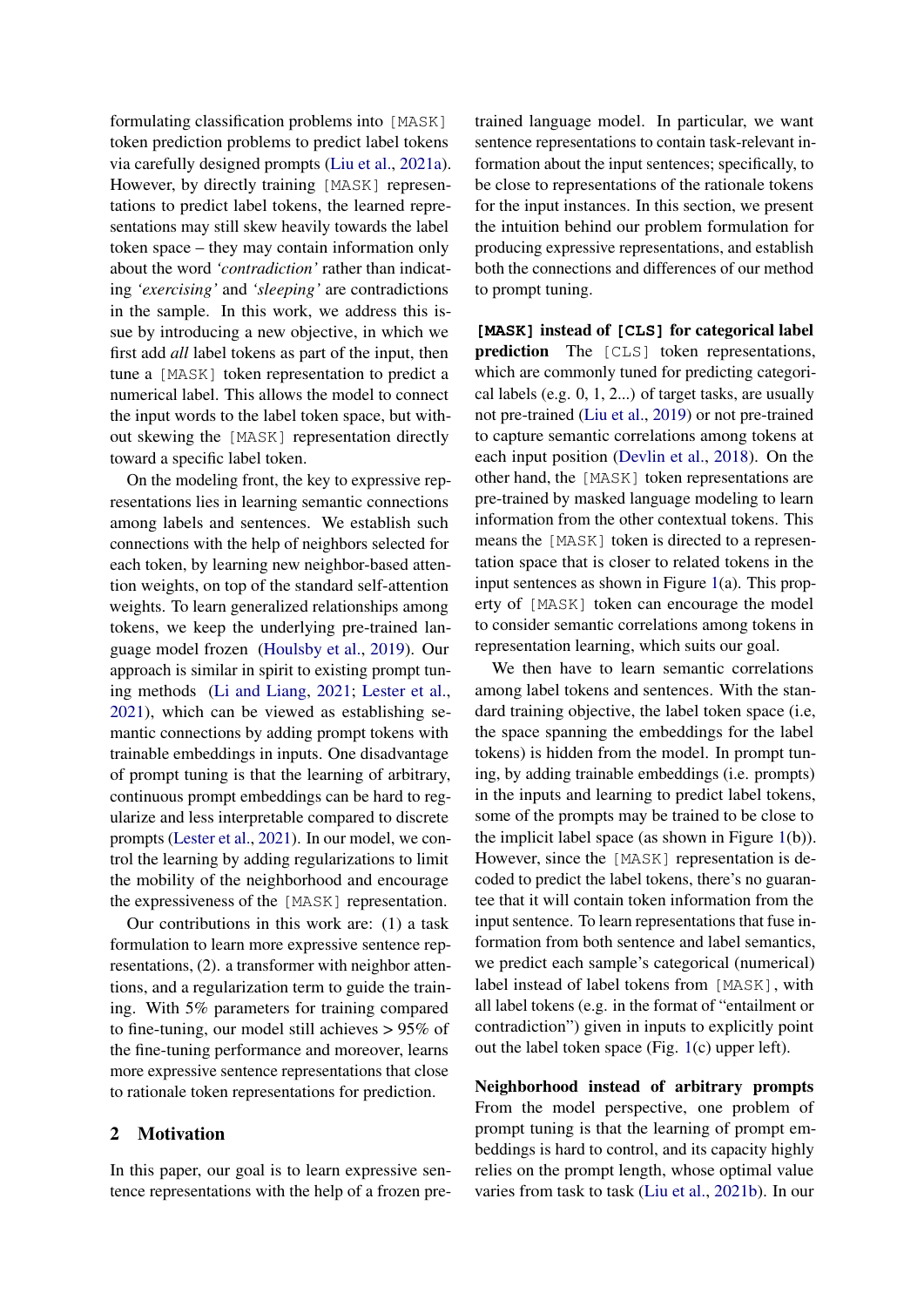formulating classification problems into [MASK] token prediction problems to predict label tokens via carefully designed prompts [\(Liu et al.,](#page-8-7) [2021a\)](#page-8-7). However, by directly training [MASK] representations to predict label tokens, the learned representations may still skew heavily towards the label token space – they may contain information only about the word *'contradiction'* rather than indicating *'exercising'* and *'sleeping'* are contradictions in the sample. In this work, we address this issue by introducing a new objective, in which we first add *all* label tokens as part of the input, then tune a [MASK] token representation to predict a numerical label. This allows the model to connect the input words to the label token space, but without skewing the [MASK] representation directly toward a specific label token.

On the modeling front, the key to expressive representations lies in learning semantic connections among labels and sentences. We establish such connections with the help of neighbors selected for each token, by learning new neighbor-based attention weights, on top of the standard self-attention weights. To learn generalized relationships among tokens, we keep the underlying pre-trained language model frozen [\(Houlsby et al.,](#page-8-8) [2019\)](#page-8-8). Our approach is similar in spirit to existing prompt tuning methods [\(Li and Liang,](#page-8-9) [2021;](#page-8-9) [Lester et al.,](#page-8-10) [2021\)](#page-8-10), which can be viewed as establishing semantic connections by adding prompt tokens with trainable embeddings in inputs. One disadvantage of prompt tuning is that the learning of arbitrary, continuous prompt embeddings can be hard to regularize and less interpretable compared to discrete prompts [\(Lester et al.,](#page-8-10) [2021\)](#page-8-10). In our model, we control the learning by adding regularizations to limit the mobility of the neighborhood and encourage the expressiveness of the [MASK] representation.

Our contributions in this work are: (1) a task formulation to learn more expressive sentence representations, (2). a transformer with neighbor attentions, and a regularization term to guide the training. With 5% parameters for training compared to fine-tuning, our model still achieves > 95% of the fine-tuning performance and moreover, learns more expressive sentence representations that close to rationale token representations for prediction.

# 2 Motivation

In this paper, our goal is to learn expressive sentence representations with the help of a frozen pretrained language model. In particular, we want sentence representations to contain task-relevant information about the input sentences; specifically, to be close to representations of the rationale tokens for the input instances. In this section, we present the intuition behind our problem formulation for producing expressive representations, and establish both the connections and differences of our method to prompt tuning.

**[MASK]** instead of **[CLS]** for categorical label prediction The [CLS] token representations, which are commonly tuned for predicting categorical labels (e.g. 0, 1, 2...) of target tasks, are usually not pre-trained [\(Liu et al.,](#page-8-11) [2019\)](#page-8-11) or not pre-trained to capture semantic correlations among tokens at each input position [\(Devlin et al.,](#page-8-12) [2018\)](#page-8-12). On the other hand, the [MASK] token representations are pre-trained by masked language modeling to learn information from the other contextual tokens. This means the [MASK] token is directed to a representation space that is closer to related tokens in the input sentences as shown in Figure [1\(](#page-2-0)a). This property of [MASK] token can encourage the model to consider semantic correlations among tokens in representation learning, which suits our goal.

We then have to learn semantic correlations among label tokens and sentences. With the standard training objective, the label token space (i.e, the space spanning the embeddings for the label tokens) is hidden from the model. In prompt tuning, by adding trainable embeddings (i.e. prompts) in the inputs and learning to predict label tokens, some of the prompts may be trained to be close to the implicit label space (as shown in Figure [1\(](#page-2-0)b)). However, since the [MASK] representation is decoded to predict the label tokens, there's no guarantee that it will contain token information from the input sentence. To learn representations that fuse information from both sentence and label semantics, we predict each sample's categorical (numerical) label instead of label tokens from [MASK], with all label tokens (e.g. in the format of "entailment or contradiction") given in inputs to explicitly point out the label token space (Fig. [1\(](#page-2-0)c) upper left).

Neighborhood instead of arbitrary prompts From the model perspective, one problem of prompt tuning is that the learning of prompt embeddings is hard to control, and its capacity highly relies on the prompt length, whose optimal value varies from task to task [\(Liu et al.,](#page-8-13) [2021b\)](#page-8-13). In our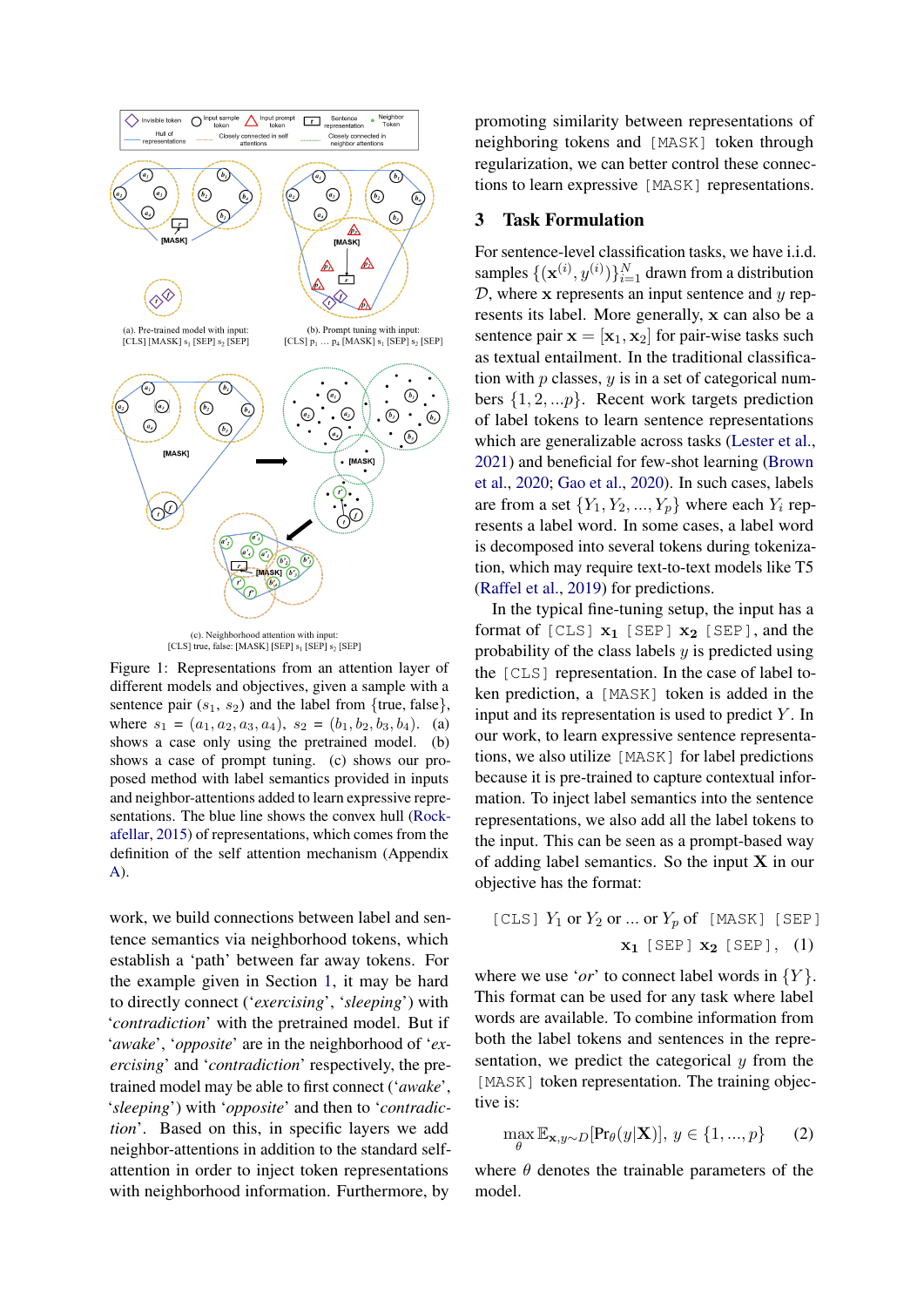<span id="page-2-0"></span>



Figure 1: Representations from an attention layer of different models and objectives, given a sample with a sentence pair  $(s_1, s_2)$  and the label from {true, false}, where  $s_1 = (a_1, a_2, a_3, a_4), s_2 = (b_1, b_2, b_3, b_4).$  (a) shows a case only using the pretrained model. (b) shows a case of prompt tuning. (c) shows our proposed method with label semantics provided in inputs and neighbor-attentions added to learn expressive representations. The blue line shows the convex hull [\(Rock](#page-9-1)[afellar,](#page-9-1) [2015\)](#page-9-1) of representations, which comes from the definition of the self attention mechanism (Appendix [A\)](#page-10-0).

work, we build connections between label and sentence semantics via neighborhood tokens, which establish a 'path' between far away tokens. For the example given in Section [1,](#page-2-0) it may be hard to directly connect ('*exercising*', '*sleeping*') with '*contradiction*' with the pretrained model. But if '*awake*', '*opposite*' are in the neighborhood of '*exercising*' and '*contradiction*' respectively, the pretrained model may be able to first connect ('*awake*', '*sleeping*') with '*opposite*' and then to '*contradiction*'. Based on this, in specific layers we add neighbor-attentions in addition to the standard selfattention in order to inject token representations with neighborhood information. Furthermore, by

promoting similarity between representations of neighboring tokens and [MASK] token through regularization, we can better control these connections to learn expressive [MASK] representations.

## 3 Task Formulation

For sentence-level classification tasks, we have i.i.d. samples  $\{(\mathbf{x}^{(i)}, y^{(i)})\}_{i=1}^N$  drawn from a distribution  $D$ , where x represents an input sentence and  $y$  represents its label. More generally, x can also be a sentence pair  $\mathbf{x} = [\mathbf{x}_1, \mathbf{x}_2]$  for pair-wise tasks such as textual entailment. In the traditional classification with  $p$  classes,  $y$  is in a set of categorical numbers  $\{1, 2, \ldots p\}$ . Recent work targets prediction of label tokens to learn sentence representations which are generalizable across tasks [\(Lester et al.,](#page-8-10) [2021\)](#page-8-10) and beneficial for few-shot learning [\(Brown](#page-8-14) [et al.,](#page-8-14) [2020;](#page-8-14) [Gao et al.,](#page-8-15) [2020\)](#page-8-15). In such cases, labels are from a set  $\{Y_1, Y_2, ..., Y_p\}$  where each  $Y_i$  represents a label word. In some cases, a label word is decomposed into several tokens during tokenization, which may require text-to-text models like T5 [\(Raffel et al.,](#page-9-2) [2019\)](#page-9-2) for predictions.

In the typical fine-tuning setup, the input has a format of [CLS]  $x_1$  [SEP]  $x_2$  [SEP], and the probability of the class labels  $y$  is predicted using the [CLS] representation. In the case of label token prediction, a [MASK] token is added in the input and its representation is used to predict  $Y$ . In our work, to learn expressive sentence representations, we also utilize [MASK] for label predictions because it is pre-trained to capture contextual information. To inject label semantics into the sentence representations, we also add all the label tokens to the input. This can be seen as a prompt-based way of adding label semantics. So the input  $X$  in our objective has the format:

<span id="page-2-2"></span>[CLS] 
$$
Y_1
$$
 or  $Y_2$  or ... or  $Y_p$  of [MASK] [SEP]  
 $\mathbf{x}_1$  [SEP]  $\mathbf{x}_2$  [SEP], (1)

where we use '*or*' to connect label words in  ${Y}$ . This format can be used for any task where label words are available. To combine information from both the label tokens and sentences in the representation, we predict the categorical  $y$  from the [MASK] token representation. The training objective is:

<span id="page-2-1"></span>
$$
\max_{\theta} \mathbb{E}_{\mathbf{x}, y \sim D}[\Pr_{\theta}(y|\mathbf{X})], y \in \{1, ..., p\}
$$
 (2)

where  $\theta$  denotes the trainable parameters of the model.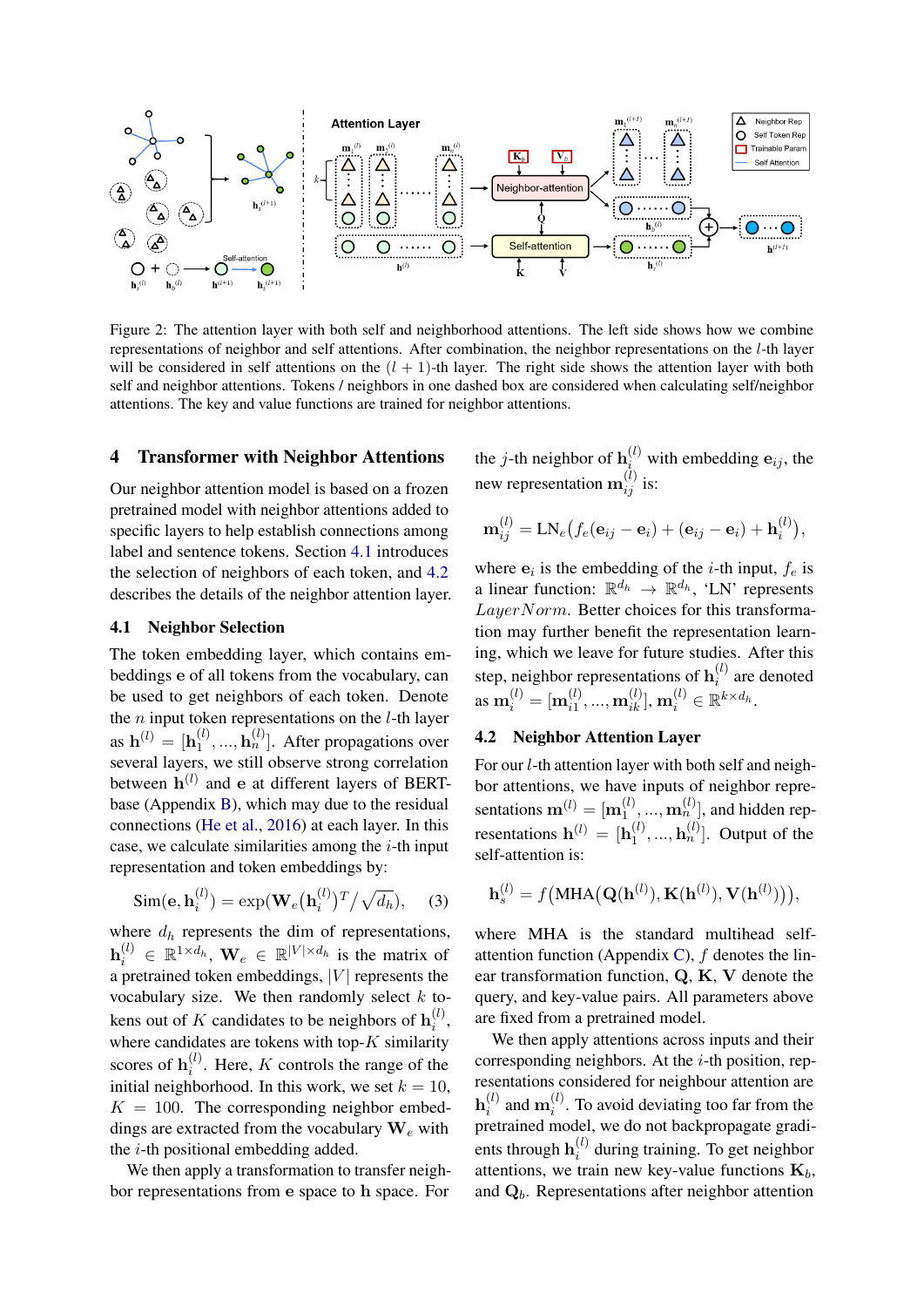<span id="page-3-2"></span>

Figure 2: The attention layer with both self and neighborhood attentions. The left side shows how we combine representations of neighbor and self attentions. After combination, the neighbor representations on the l-th layer will be considered in self attentions on the  $(l + 1)$ -th layer. The right side shows the attention layer with both self and neighbor attentions. Tokens / neighbors in one dashed box are considered when calculating self/neighbor attentions. The key and value functions are trained for neighbor attentions.

#### 4 Transformer with Neighbor Attentions

Our neighbor attention model is based on a frozen pretrained model with neighbor attentions added to specific layers to help establish connections among label and sentence tokens. Section [4.1](#page-3-0) introduces the selection of neighbors of each token, and [4.2](#page-3-1) describes the details of the neighbor attention layer.

### <span id="page-3-0"></span>4.1 Neighbor Selection

The token embedding layer, which contains embeddings e of all tokens from the vocabulary, can be used to get neighbors of each token. Denote the  $n$  input token representations on the  $l$ -th layer as  ${\bf h}^{(l)} = [{\bf h}^{(l)}_1]$  $\mathbf{h}_1^{(l)},...,\mathbf{h}_n^{(l)}$ ]. After propagations over several layers, we still observe strong correlation between  $\mathbf{h}^{(l)}$  and e at different layers of BERTbase (Appendix [B\)](#page-10-1), which may due to the residual connections [\(He et al.,](#page-8-16) [2016\)](#page-8-16) at each layer. In this case, we calculate similarities among the  $i$ -th input representation and token embeddings by:

$$
\text{Sim}(\mathbf{e}, \mathbf{h}_i^{(l)}) = \exp(\mathbf{W}_e(\mathbf{h}_i^{(l)})^T / \sqrt{d_h}), \quad (3)
$$

where  $d_h$  represents the dim of representations,  $\mathbf{h}_i^{(l)} \in \mathbb{R}^{1 \times d_h}$ ,  $\mathbf{W}_e \in \mathbb{R}^{|V| \times d_h}$  is the matrix of a pretrained token embeddings,  $|V|$  represents the vocabulary size. We then randomly select  $k$  tokens out of K candidates to be neighbors of  $\mathbf{h}_i^{(l)}$  $\binom{u}{i}$ where candidates are tokens with top- $K$  similarity scores of  $\mathbf{h}_i^{(l)}$  $i^{(l)}$ . Here, K controls the range of the initial neighborhood. In this work, we set  $k = 10$ ,  $K = 100$ . The corresponding neighbor embeddings are extracted from the vocabulary  $W_e$  with the i-th positional embedding added.

We then apply a transformation to transfer neighbor representations from e space to h space. For

the *j*-th neighbor of  $\mathbf{h}_{i}^{(l)}$  with embedding  $\mathbf{e}_{ij}$ , the new representation  $\mathbf{m}_{ij}^{(l)}$  is:

$$
\mathbf{m}_{ij}^{(l)} = \text{LN}_e(f_e(\mathbf{e}_{ij} - \mathbf{e}_i) + (\mathbf{e}_{ij} - \mathbf{e}_i) + \mathbf{h}_i^{(l)}),
$$

where  $e_i$  is the embedding of the *i*-th input,  $f_e$  is a linear function:  $\mathbb{R}^{d_h} \to \mathbb{R}^{d_h}$ , 'LN' represents LayerNorm. Better choices for this transformation may further benefit the representation learning, which we leave for future studies. After this step, neighbor representations of  $\mathbf{h}_i^{(l)}$  $i^{(i)}$  are denoted as  $\mathbf{m}_i^{(l)} = [\mathbf{m}_{i1}^{(l)}]$  $\hat{\mathbf{m}}_{i1}^{(l)},...,\mathbf{m}_{ik}^{(l)}],\mathbf{m}_{i}^{(l)} \in \mathbb{R}^{k \times d_h}.$ 

### <span id="page-3-1"></span>4.2 Neighbor Attention Layer

For our l-th attention layer with both self and neighbor attentions, we have inputs of neighbor representations  $\mathbf{m}^{(l)} = [\mathbf{m}_1^{(l)}]$  $\left( \begin{matrix} l \\ 1 \end{matrix} \right)$ , ...,  $\mathbf{m}_n^{(l)}$ , and hidden representations  $\mathbf{h}^{(l)} = [\mathbf{h}_1^{(l)}]$  $\mathbf{h}_1^{(l)},...,\mathbf{h}_n^{(l)}$ ]. Output of the self-attention is:

$$
\mathbf{h}_s^{(l)} = f(\text{MHA}(\mathbf{Q}(\mathbf{h}^{(l)}), \mathbf{K}(\mathbf{h}^{(l)}), \mathbf{V}(\mathbf{h}^{(l)}))),
$$

where MHA is the standard multihead self-attention function (Appendix [C\)](#page-10-2),  $f$  denotes the linear transformation function, Q, K, V denote the query, and key-value pairs. All parameters above are fixed from a pretrained model.

We then apply attentions across inputs and their corresponding neighbors. At the  $i$ -th position, representations considered for neighbour attention are  $\mathbf{h}^{(l)}_i$  $i^{(l)}$  and  $\mathbf{m}_i^{(l)}$  $i_i^{(l)}$ . To avoid deviating too far from the pretrained model, we do not backpropagate gradients through  $\mathbf{h}_i^{(l)}$  $i^{(t)}$  during training. To get neighbor attentions, we train new key-value functions  $\mathbf{K}_b$ , and  $\mathbf{Q}_b$ . Representations after neighbor attention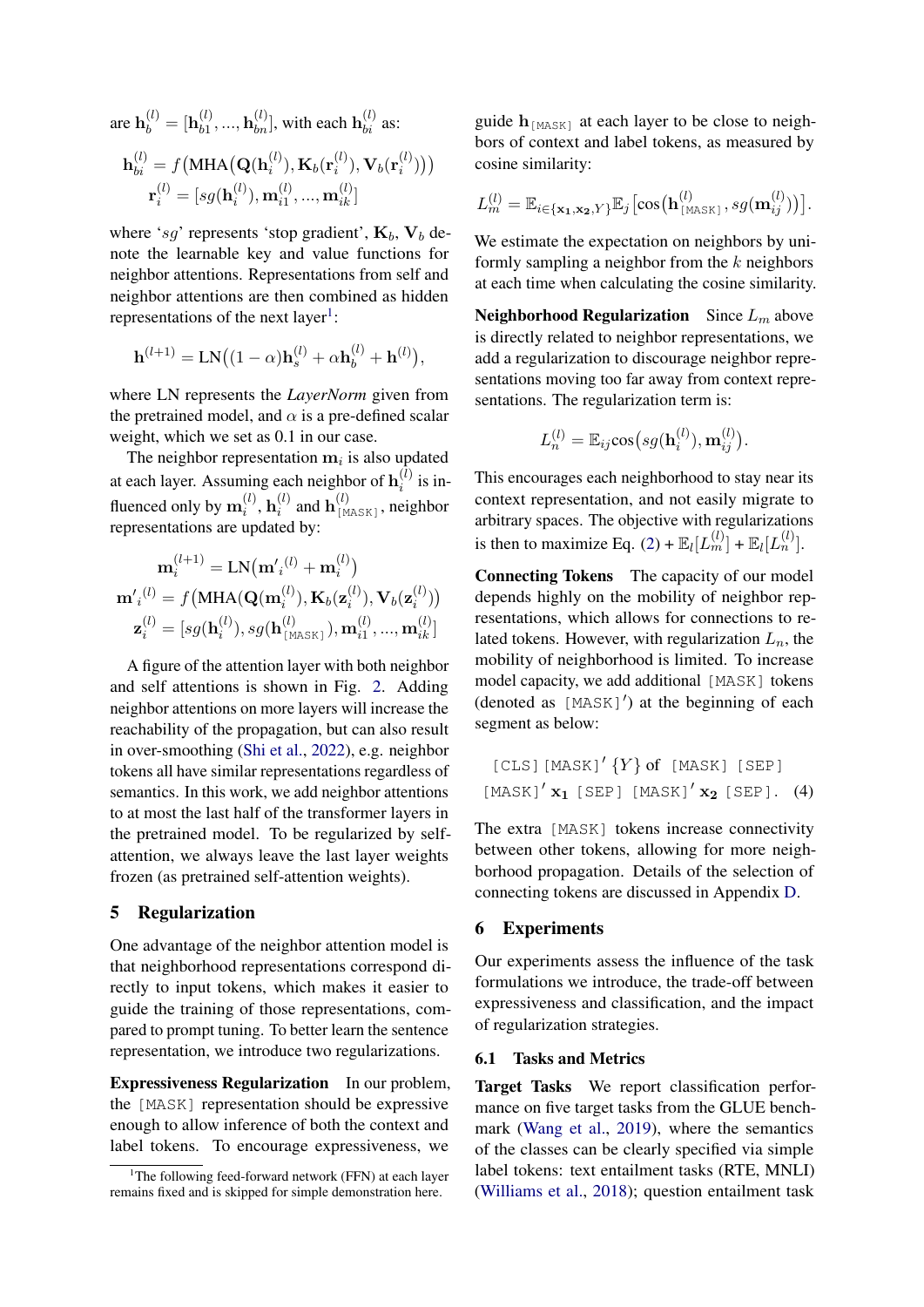are  ${\bf h}_b^{(l)} = [{\bf h}_{b1}^{(l)}]$  $b_1^{(l)}, ..., b_{bn}^{(l)}$ , with each  $\mathbf{h}_{bi}^{(l)}$  as:

$$
\mathbf{h}_{bi}^{(l)} = f(\text{MHA}(\mathbf{Q}(\mathbf{h}_{i}^{(l)}), \mathbf{K}_{b}(\mathbf{r}_{i}^{(l)}), \mathbf{V}_{b}(\mathbf{r}_{i}^{(l)})))
$$

$$
\mathbf{r}_{i}^{(l)} = [sg(\mathbf{h}_{i}^{(l)}), \mathbf{m}_{i1}^{(l)}, ..., \mathbf{m}_{ik}^{(l)}]
$$

where 'sg' represents 'stop gradient',  $K_b$ ,  $V_b$  denote the learnable key and value functions for neighbor attentions. Representations from self and neighbor attentions are then combined as hidden representations of the next layer<sup>[1](#page-4-0)</sup>:

$$
\mathbf{h}^{(l+1)} = \mathbf{LN}((1-\alpha)\mathbf{h}_s^{(l)} + \alpha \mathbf{h}_b^{(l)} + \mathbf{h}^{(l)}),
$$

where LN represents the *LayerNorm* given from the pretrained model, and  $\alpha$  is a pre-defined scalar weight, which we set as 0.1 in our case.

The neighbor representation  $m_i$  is also updated at each layer. Assuming each neighbor of  $\mathbf{h}_i^{(l)}$  $i^{(i)}$  is influenced only by  $\mathbf{m}_i^{(l)}$  $\mathbf{h}_i^{(l)}, \mathbf{h}_i^{(l)}$  $i^{(l)}$  and  $\mathbf{h}_{\texttt{[MASK]}}^{(l)}$ , neighbor representations are updated by:

$$
\mathbf{m}_{i}^{(l+1)} = \text{LN}(\mathbf{m'}_{i}^{(l)} + \mathbf{m}_{i}^{(l)})
$$

$$
\mathbf{m'}_{i}^{(l)} = f(\text{MHA}(\mathbf{Q}(\mathbf{m}_{i}^{(l)}), \mathbf{K}_{b}(\mathbf{z}_{i}^{(l)}), \mathbf{V}_{b}(\mathbf{z}_{i}^{(l)}))
$$

$$
\mathbf{z}_{i}^{(l)} = [sg(\mathbf{h}_{i}^{(l)}), sg(\mathbf{h}_{[\text{MASK}]}^{(l)}), \mathbf{m}_{i1}^{(l)}, ..., \mathbf{m}_{ik}^{(l)}]
$$

A figure of the attention layer with both neighbor and self attentions is shown in Fig. [2.](#page-3-2) Adding neighbor attentions on more layers will increase the reachability of the propagation, but can also result in over-smoothing [\(Shi et al.,](#page-9-3) [2022\)](#page-9-3), e.g. neighbor tokens all have similar representations regardless of semantics. In this work, we add neighbor attentions to at most the last half of the transformer layers in the pretrained model. To be regularized by selfattention, we always leave the last layer weights frozen (as pretrained self-attention weights).

## 5 Regularization

One advantage of the neighbor attention model is that neighborhood representations correspond directly to input tokens, which makes it easier to guide the training of those representations, compared to prompt tuning. To better learn the sentence representation, we introduce two regularizations.

Expressiveness Regularization In our problem, the [MASK] representation should be expressive enough to allow inference of both the context and label tokens. To encourage expressiveness, we

guide  $\mathbf{h}_{\text{[MASK]}}$  at each layer to be close to neighbors of context and label tokens, as measured by cosine similarity:

$$
L_m^{(l)} = \mathbb{E}_{i \in {\mathbf{x_1}, \mathbf{x_2}, Y}} \mathbb{E}_j \big[ \cos \big(\mathbf{h}_{\texttt{[MASK]}}^{(l)}, sg(\mathbf{m}_{ij}^{(l)}) \big) \big].
$$

We estimate the expectation on neighbors by uniformly sampling a neighbor from the  $k$  neighbors at each time when calculating the cosine similarity.

Neighborhood Regularization Since  $L_m$  above is directly related to neighbor representations, we add a regularization to discourage neighbor representations moving too far away from context representations. The regularization term is:

$$
L_n^{(l)} = \mathbb{E}_{ij} \cos\big(s g(\mathbf{h}_i^{(l)}), \mathbf{m}_{ij}^{(l)}\big).
$$

This encourages each neighborhood to stay near its context representation, and not easily migrate to arbitrary spaces. The objective with regularizations is then to maximize Eq. [\(2\)](#page-2-1) +  $\mathbb{E}_{l}[L_m^{(l)}]$  +  $\mathbb{E}_{l}[L_n^{(l)}]$ .

Connecting Tokens The capacity of our model depends highly on the mobility of neighbor representations, which allows for connections to related tokens. However, with regularization  $L_n$ , the mobility of neighborhood is limited. To increase model capacity, we add additional [MASK] tokens  $(denoted as [MASK]')$  at the beginning of each segment as below:

<span id="page-4-1"></span>
$$
[CLS] [MASK]'\{Y\} of [MASK] [SEP]
$$

$$
[MASK]'\mathbf{x_1} [SEP] [MASK]'\mathbf{x_2} [SEP].
$$
 (4)

The extra [MASK] tokens increase connectivity between other tokens, allowing for more neighborhood propagation. Details of the selection of connecting tokens are discussed in Appendix [D.](#page-10-3)

### 6 Experiments

Our experiments assess the influence of the task formulations we introduce, the trade-off between expressiveness and classification, and the impact of regularization strategies.

## 6.1 Tasks and Metrics

Target Tasks We report classification performance on five target tasks from the GLUE benchmark [\(Wang et al.,](#page-9-4) [2019\)](#page-9-4), where the semantics of the classes can be clearly specified via simple label tokens: text entailment tasks (RTE, MNLI) [\(Williams et al.,](#page-9-5) [2018\)](#page-9-5); question entailment task

<span id="page-4-0"></span><sup>&</sup>lt;sup>1</sup>The following feed-forward network (FFN) at each layer remains fixed and is skipped for simple demonstration here.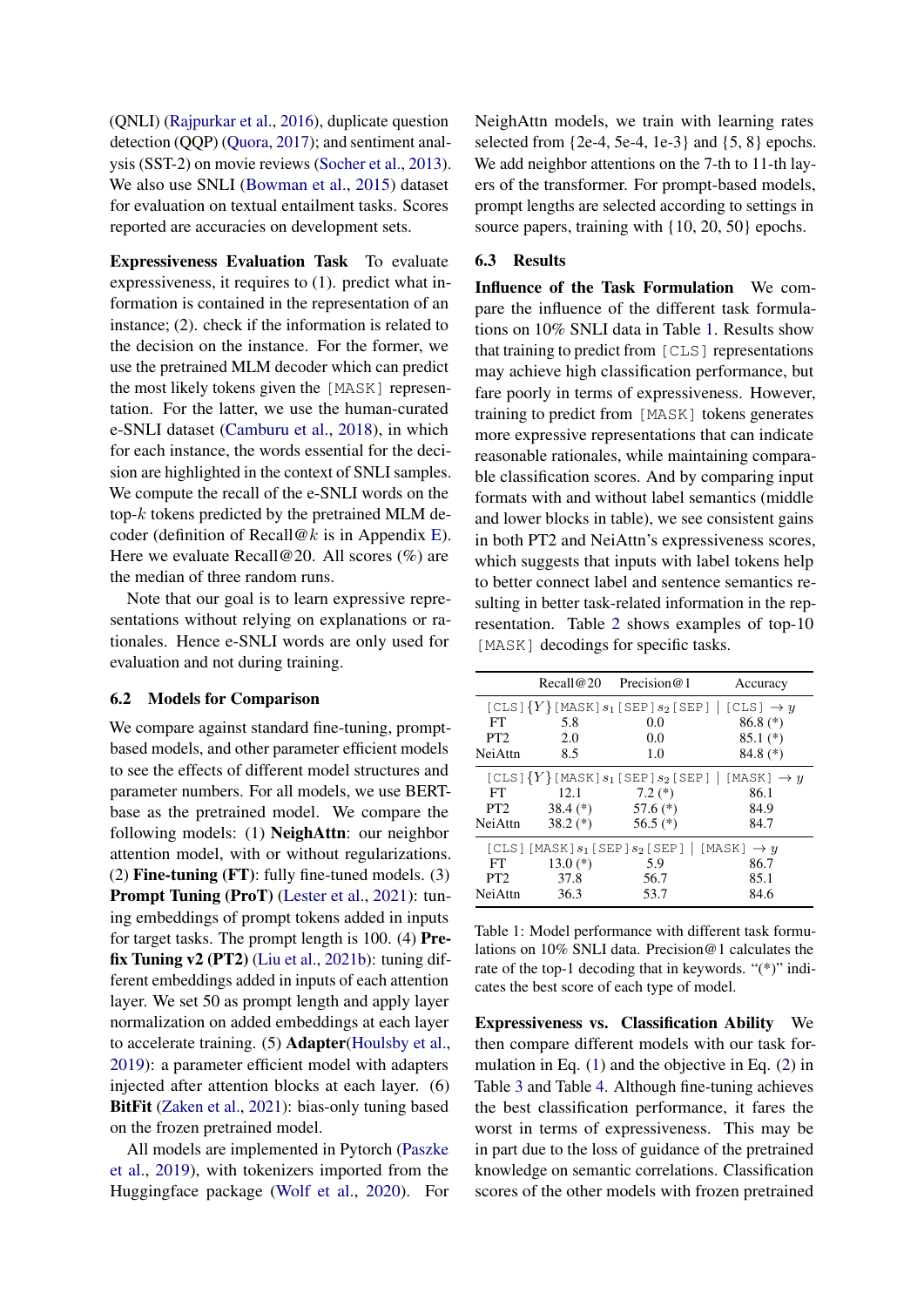(QNLI) [\(Rajpurkar et al.,](#page-9-6) [2016\)](#page-9-6), duplicate question detection (QQP) [\(Quora,](#page-9-7) [2017\)](#page-9-7); and sentiment analysis (SST-2) on movie reviews [\(Socher et al.,](#page-9-8) [2013\)](#page-9-8). We also use SNLI [\(Bowman et al.,](#page-8-17) [2015\)](#page-8-17) dataset for evaluation on textual entailment tasks. Scores reported are accuracies on development sets.

Expressiveness Evaluation Task To evaluate expressiveness, it requires to (1). predict what information is contained in the representation of an instance; (2). check if the information is related to the decision on the instance. For the former, we use the pretrained MLM decoder which can predict the most likely tokens given the [MASK] representation. For the latter, we use the human-curated e-SNLI dataset [\(Camburu et al.,](#page-8-0) [2018\)](#page-8-0), in which for each instance, the words essential for the decision are highlighted in the context of SNLI samples. We compute the recall of the e-SNLI words on the top- $k$  tokens predicted by the pretrained MLM de-coder (definition of Recall@k is in Appendix [E\)](#page-11-0). Here we evaluate Recall@20. All scores  $(\%)$  are the median of three random runs.

Note that our goal is to learn expressive representations without relying on explanations or rationales. Hence e-SNLI words are only used for evaluation and not during training.

#### 6.2 Models for Comparison

We compare against standard fine-tuning, promptbased models, and other parameter efficient models to see the effects of different model structures and parameter numbers. For all models, we use BERTbase as the pretrained model. We compare the following models: (1) NeighAttn: our neighbor attention model, with or without regularizations. (2) Fine-tuning (FT): fully fine-tuned models. (3) Prompt Tuning (ProT) [\(Lester et al.,](#page-8-10) [2021\)](#page-8-10): tuning embeddings of prompt tokens added in inputs for target tasks. The prompt length is 100. (4) Prefix Tuning  $v2$  (PT2) [\(Liu et al.,](#page-8-13) [2021b\)](#page-8-13): tuning different embeddings added in inputs of each attention layer. We set 50 as prompt length and apply layer normalization on added embeddings at each layer to accelerate training. (5) Adapter[\(Houlsby et al.,](#page-8-8) [2019\)](#page-8-8): a parameter efficient model with adapters injected after attention blocks at each layer. (6) BitFit [\(Zaken et al.,](#page-9-9) [2021\)](#page-9-9): bias-only tuning based on the frozen pretrained model.

All models are implemented in Pytorch [\(Paszke](#page-8-18) [et al.,](#page-8-18) [2019\)](#page-8-18), with tokenizers imported from the Huggingface package [\(Wolf et al.,](#page-9-10) [2020\)](#page-9-10). For NeighAttn models, we train with learning rates selected from  $\{2e-4, 5e-4, 1e-3\}$  and  $\{5, 8\}$  epochs. We add neighbor attentions on the 7-th to 11-th layers of the transformer. For prompt-based models, prompt lengths are selected according to settings in source papers, training with  $\{10, 20, 50\}$  epochs.

### <span id="page-5-1"></span>6.3 Results

Influence of the Task Formulation We compare the influence of the different task formulations on 10% SNLI data in Table [1.](#page-5-0) Results show that training to predict from [CLS] representations may achieve high classification performance, but fare poorly in terms of expressiveness. However, training to predict from [MASK] tokens generates more expressive representations that can indicate reasonable rationales, while maintaining comparable classification scores. And by comparing input formats with and without label semantics (middle and lower blocks in table), we see consistent gains in both PT2 and NeiAttn's expressiveness scores, which suggests that inputs with label tokens help to better connect label and sentence semantics resulting in better task-related information in the representation. Table [2](#page-6-0) shows examples of top-10 [MASK] decodings for specific tasks.

<span id="page-5-0"></span>

|                                                               | Recall@20  | Precision $@1$                                     | Accuracy               |  |  |  |
|---------------------------------------------------------------|------------|----------------------------------------------------|------------------------|--|--|--|
|                                                               |            | $[CLS]$ ${Y}$ $[MASK]$ $s_1$ $[SEP]$ $s_2$ $[SEP]$ | $[CLS] \rightarrow y$  |  |  |  |
| FT                                                            | 5.8        | 0.0                                                | $86.8$ $(*)$           |  |  |  |
| PT <sub>2</sub>                                               | 2.0        | 0.0                                                | $85.1(*)$              |  |  |  |
| <b>NeiAttn</b>                                                | 8.5        | 1.0                                                | $84.8(*)$              |  |  |  |
|                                                               |            | [CLS] ${Y}$ [MASK] $s_1$ [SEP] $s_2$ [SEP]         | $[MASK] \rightarrow y$ |  |  |  |
| FT                                                            | 12.1       | $7.2(*)$                                           | 86.1                   |  |  |  |
| PT <sub>2</sub>                                               | $38.4(*)$  | 57.6 $(*)$                                         | 84.9                   |  |  |  |
| <b>NeiAttn</b>                                                | $38.2(*)$  | 56.5 $(*)$                                         | 84.7                   |  |  |  |
| [CLS] [MASK] $s_1$ [SEP] $s_2$ [SEP]   [MASK] $\rightarrow y$ |            |                                                    |                        |  |  |  |
| FT.                                                           | 13.0 $(*)$ | 5.9                                                | 86.7                   |  |  |  |
| PT <sub>2</sub>                                               | 37.8       | 56.7                                               | 85.1                   |  |  |  |
| NeiAttn                                                       | 36.3       | 53.7                                               | 84.6                   |  |  |  |

Table 1: Model performance with different task formulations on 10% SNLI data. Precision@1 calculates the rate of the top-1 decoding that in keywords. "(\*)" indicates the best score of each type of model.

Expressiveness vs. Classification Ability We then compare different models with our task formulation in Eq. [\(1\)](#page-2-2) and the objective in Eq. [\(2\)](#page-2-1) in Table [3](#page-7-0) and Table [4.](#page-7-1) Although fine-tuning achieves the best classification performance, it fares the worst in terms of expressiveness. This may be in part due to the loss of guidance of the pretrained knowledge on semantic correlations. Classification scores of the other models with frozen pretrained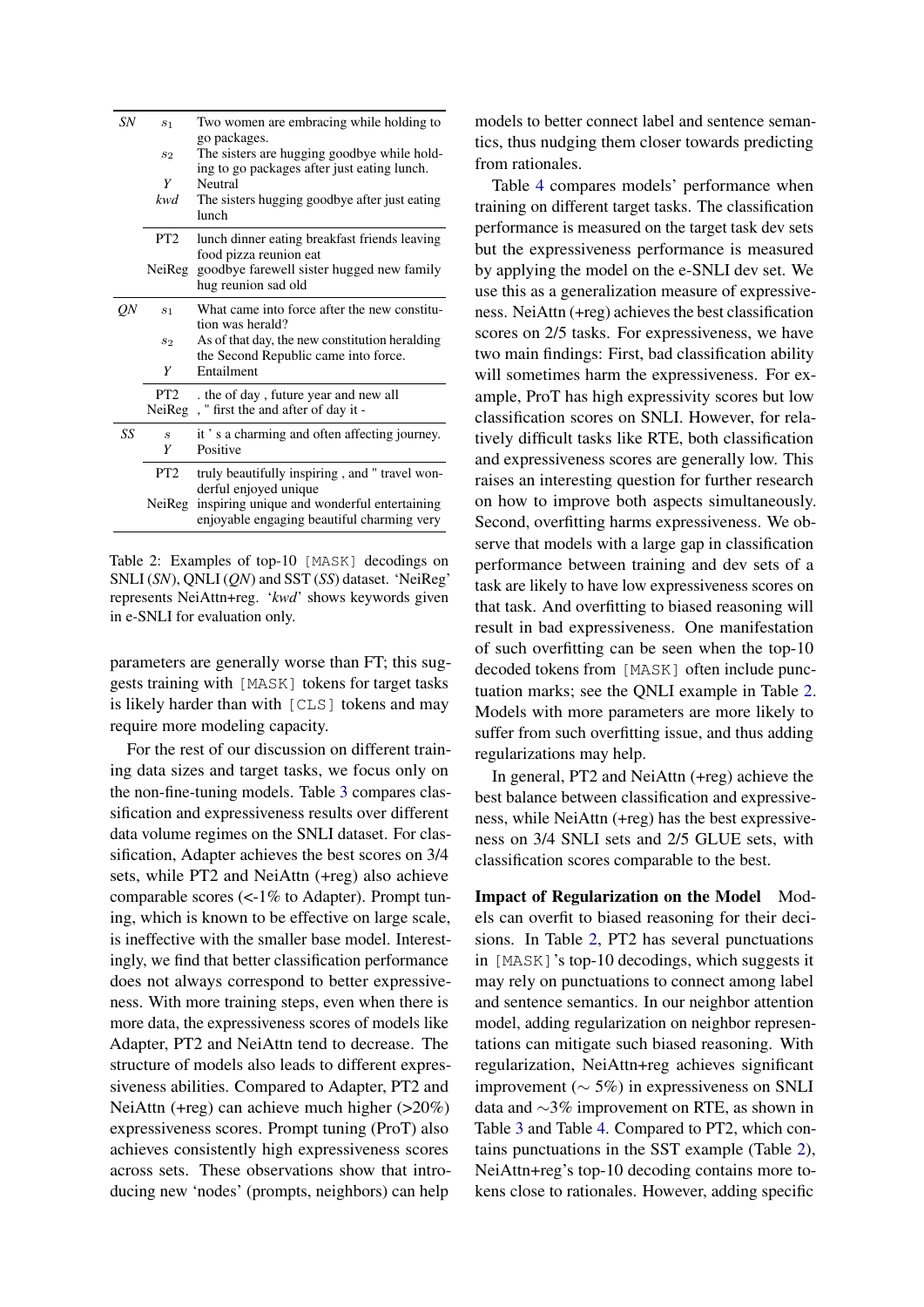<span id="page-6-0"></span>

| SN | s <sub>1</sub>              | Two women are embracing while holding to<br>go packages.                                                           |
|----|-----------------------------|--------------------------------------------------------------------------------------------------------------------|
|    | s <sub>2</sub>              | The sisters are hugging goodbye while hold-                                                                        |
|    | Y                           | ing to go packages after just eating lunch.<br>Neutral                                                             |
|    | kwd                         | The sisters hugging goodbye after just eating<br>lunch                                                             |
|    | PT <sub>2</sub>             | lunch dinner eating breakfast friends leaving                                                                      |
|    | NeiReg                      | food pizza reunion eat<br>goodbye farewell sister hugged new family<br>hug reunion sad old                         |
| ON | S <sub>1</sub>              | What came into force after the new constitu-<br>tion was herald?                                                   |
|    | $s_2$                       | As of that day, the new constitution heralding<br>the Second Republic came into force.                             |
|    | Y                           | Entailment                                                                                                         |
|    | PT <sub>2</sub>             | the of day, future year and new all                                                                                |
|    | NeiReg                      | , " first the and after of day it -                                                                                |
| SS | $\mathcal{S}_{\mathcal{S}}$ | it's a charming and often affecting journey.                                                                       |
|    | Y                           | Positive                                                                                                           |
|    | PT <sub>2</sub>             | truly beautifully inspiring, and "travel won-                                                                      |
|    | NeiReg                      | derful enjoyed unique<br>inspiring unique and wonderful entertaining<br>enjoyable engaging beautiful charming very |

Table 2: Examples of top-10 [MASK] decodings on SNLI (*SN*), QNLI (*QN*) and SST (*SS*) dataset. 'NeiReg' represents NeiAttn+reg. '*kwd*' shows keywords given in e-SNLI for evaluation only.

parameters are generally worse than FT; this suggests training with [MASK] tokens for target tasks is likely harder than with [CLS] tokens and may require more modeling capacity.

For the rest of our discussion on different training data sizes and target tasks, we focus only on the non-fine-tuning models. Table [3](#page-7-0) compares classification and expressiveness results over different data volume regimes on the SNLI dataset. For classification, Adapter achieves the best scores on 3/4 sets, while PT2 and NeiAttn (+reg) also achieve comparable scores (<-1% to Adapter). Prompt tuning, which is known to be effective on large scale, is ineffective with the smaller base model. Interestingly, we find that better classification performance does not always correspond to better expressiveness. With more training steps, even when there is more data, the expressiveness scores of models like Adapter, PT2 and NeiAttn tend to decrease. The structure of models also leads to different expressiveness abilities. Compared to Adapter, PT2 and NeiAttn (+reg) can achieve much higher (>20%) expressiveness scores. Prompt tuning (ProT) also achieves consistently high expressiveness scores across sets. These observations show that introducing new 'nodes' (prompts, neighbors) can help

models to better connect label and sentence semantics, thus nudging them closer towards predicting from rationales.

Table [4](#page-7-1) compares models' performance when training on different target tasks. The classification performance is measured on the target task dev sets but the expressiveness performance is measured by applying the model on the e-SNLI dev set. We use this as a generalization measure of expressiveness. NeiAttn (+reg) achieves the best classification scores on 2/5 tasks. For expressiveness, we have two main findings: First, bad classification ability will sometimes harm the expressiveness. For example, ProT has high expressivity scores but low classification scores on SNLI. However, for relatively difficult tasks like RTE, both classification and expressiveness scores are generally low. This raises an interesting question for further research on how to improve both aspects simultaneously. Second, overfitting harms expressiveness. We observe that models with a large gap in classification performance between training and dev sets of a task are likely to have low expressiveness scores on that task. And overfitting to biased reasoning will result in bad expressiveness. One manifestation of such overfitting can be seen when the top-10 decoded tokens from [MASK] often include punctuation marks; see the QNLI example in Table [2.](#page-6-0) Models with more parameters are more likely to suffer from such overfitting issue, and thus adding regularizations may help.

In general, PT2 and NeiAttn (+reg) achieve the best balance between classification and expressiveness, while NeiAttn (+reg) has the best expressiveness on 3/4 SNLI sets and 2/5 GLUE sets, with classification scores comparable to the best.

Impact of Regularization on the Model Models can overfit to biased reasoning for their decisions. In Table [2,](#page-6-0) PT2 has several punctuations in [MASK]'s top-10 decodings, which suggests it may rely on punctuations to connect among label and sentence semantics. In our neighbor attention model, adding regularization on neighbor representations can mitigate such biased reasoning. With regularization, NeiAttn+reg achieves significant improvement ( $\sim$  5%) in expressiveness on SNLI data and ∼3% improvement on RTE, as shown in Table [3](#page-7-0) and Table [4.](#page-7-1) Compared to PT2, which contains punctuations in the SST example (Table [2\)](#page-6-0), NeiAttn+reg's top-10 decoding contains more tokens close to rationales. However, adding specific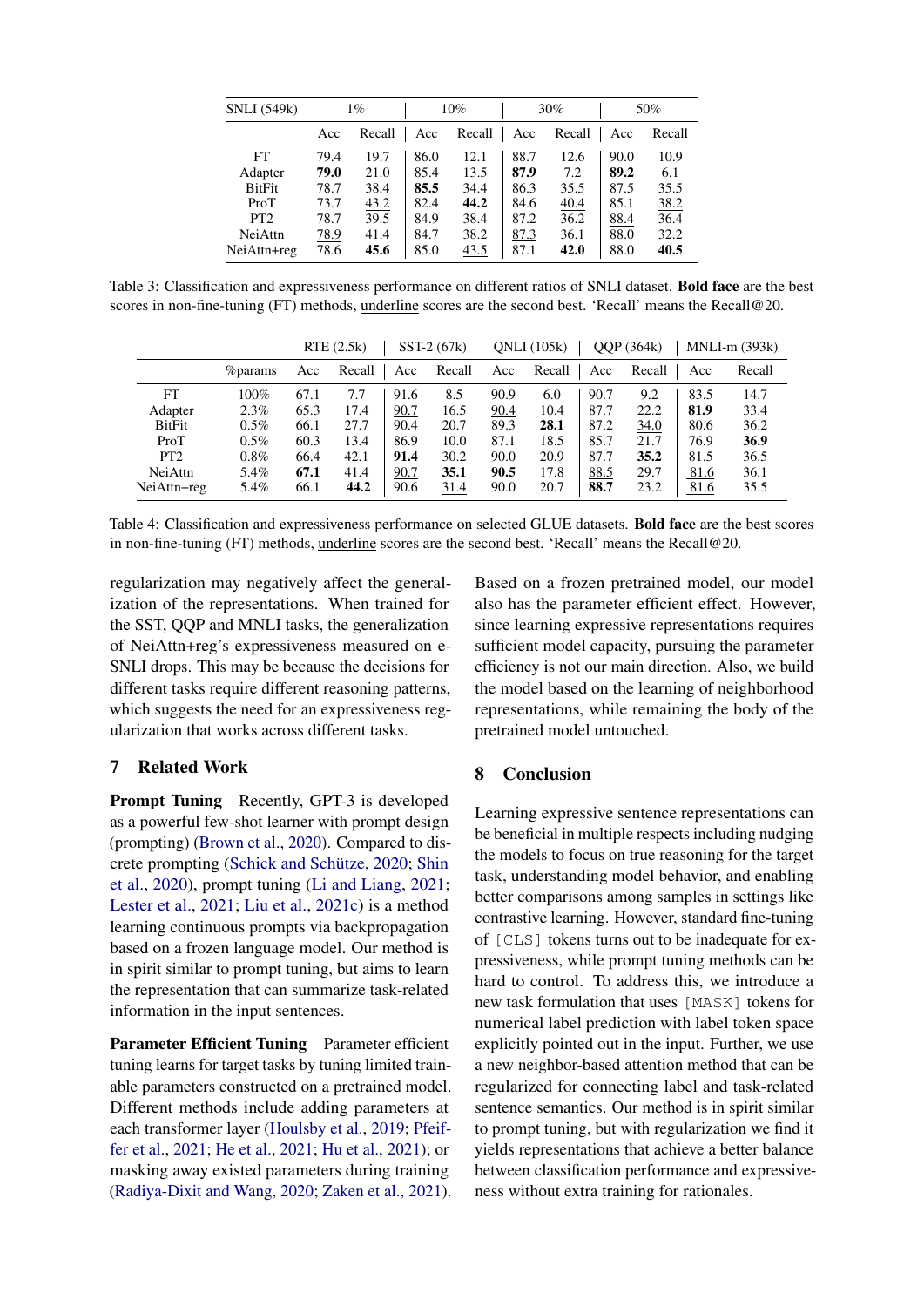<span id="page-7-0"></span>

| <b>SNLI</b> (549k) | $1\%$ |        | 10%  |        |      | $30\%$ | 50%  |        |
|--------------------|-------|--------|------|--------|------|--------|------|--------|
|                    | Acc   | Recall | Acc  | Recall | Acc  | Recall | Acc  | Recall |
| FT                 | 79.4  | 19.7   | 86.0 | 12.1   | 88.7 | 12.6   | 90.0 | 10.9   |
| Adapter            | 79.0  | 21.0   | 85.4 | 13.5   | 87.9 | 7.2    | 89.2 | 6.1    |
| <b>BitFit</b>      | 78.7  | 38.4   | 85.5 | 34.4   | 86.3 | 35.5   | 87.5 | 35.5   |
| ProT               | 73.7  | 43.2   | 82.4 | 44.2   | 84.6 | 40.4   | 85.1 | 38.2   |
| PT <sub>2</sub>    | 78.7  | 39.5   | 84.9 | 38.4   | 87.2 | 36.2   | 88.4 | 36.4   |
| <b>NeiAttn</b>     | 78.9  | 41.4   | 84.7 | 38.2   | 87.3 | 36.1   | 88.0 | 32.2   |
| NeiAttn+reg        | 78.6  | 45.6   | 85.0 | 43.5   | 87.1 | 42.0   | 88.0 | 40.5   |

Table 3: Classification and expressiveness performance on different ratios of SNLI dataset. Bold face are the best scores in non-fine-tuning (FT) methods, underline scores are the second best. 'Recall' means the Recall@20.

<span id="page-7-1"></span>

|                 |                 |      | RTE(2.5k) |      | SST-2 (67k) |      | QNLI(105k) |      | OOP (364k) |      | $MNLI-m (393k)$ |
|-----------------|-----------------|------|-----------|------|-------------|------|------------|------|------------|------|-----------------|
|                 | <i>%</i> params | Acc  | Recall    | Acc  | Recall      | Acc  | Recall     | Acc  | Recall     | Acc  | Recall          |
| FT              | $100\%$         | 67.1 | 7.7       | 91.6 | 8.5         | 90.9 | 6.0        | 90.7 | 9.2        | 83.5 | 14.7            |
| Adapter         | $2.3\%$         | 65.3 | 17.4      | 90.7 | 16.5        | 90.4 | 10.4       | 87.7 | 22.2       | 81.9 | 33.4            |
| BitFit          | $0.5\%$         | 66.1 | 27.7      | 90.4 | 20.7        | 89.3 | 28.1       | 87.2 | 34.0       | 80.6 | 36.2            |
| ProT            | $0.5\%$         | 60.3 | 13.4      | 86.9 | 10.0        | 87.1 | 18.5       | 85.7 | 21.7       | 76.9 | 36.9            |
| PT <sub>2</sub> | $0.8\%$         | 66.4 | 42.1      | 91.4 | 30.2        | 90.0 | 20.9       | 87.7 | 35.2       | 81.5 | 36.5            |
| NeiAttn         | 5.4%            | 67.1 | 41.4      | 90.7 | 35.1        | 90.5 | 17.8       | 88.5 | 29.7       | 81.6 | 36.1            |
| NeiAttn+reg     | 5.4%            | 66.1 | 44.2      | 90.6 | 31.4        | 90.0 | 20.7       | 88.7 | 23.2       | 81.6 | 35.5            |

Table 4: Classification and expressiveness performance on selected GLUE datasets. Bold face are the best scores in non-fine-tuning (FT) methods, underline scores are the second best. 'Recall' means the Recall@20.

regularization may negatively affect the generalization of the representations. When trained for the SST, QQP and MNLI tasks, the generalization of NeiAttn+reg's expressiveness measured on e-SNLI drops. This may be because the decisions for different tasks require different reasoning patterns, which suggests the need for an expressiveness regularization that works across different tasks.

## 7 Related Work

Prompt Tuning Recently, GPT-3 is developed as a powerful few-shot learner with prompt design (prompting) [\(Brown et al.,](#page-8-14) [2020\)](#page-8-14). Compared to discrete prompting [\(Schick and Schütze,](#page-9-11) [2020;](#page-9-11) [Shin](#page-9-12) [et al.,](#page-9-12) [2020\)](#page-9-12), prompt tuning [\(Li and Liang,](#page-8-9) [2021;](#page-8-9) [Lester et al.,](#page-8-10) [2021;](#page-8-10) [Liu et al.,](#page-8-19) [2021c\)](#page-8-19) is a method learning continuous prompts via backpropagation based on a frozen language model. Our method is in spirit similar to prompt tuning, but aims to learn the representation that can summarize task-related information in the input sentences.

Parameter Efficient Tuning Parameter efficient tuning learns for target tasks by tuning limited trainable parameters constructed on a pretrained model. Different methods include adding parameters at each transformer layer [\(Houlsby et al.,](#page-8-8) [2019;](#page-8-8) [Pfeif](#page-9-13)[fer et al.,](#page-9-13) [2021;](#page-9-13) [He et al.,](#page-8-20) [2021;](#page-8-20) [Hu et al.,](#page-8-21) [2021\)](#page-8-21); or masking away existed parameters during training [\(Radiya-Dixit and Wang,](#page-9-14) [2020;](#page-9-14) [Zaken et al.,](#page-9-9) [2021\)](#page-9-9).

Based on a frozen pretrained model, our model also has the parameter efficient effect. However, since learning expressive representations requires sufficient model capacity, pursuing the parameter efficiency is not our main direction. Also, we build the model based on the learning of neighborhood representations, while remaining the body of the pretrained model untouched.

### 8 Conclusion

Learning expressive sentence representations can be beneficial in multiple respects including nudging the models to focus on true reasoning for the target task, understanding model behavior, and enabling better comparisons among samples in settings like contrastive learning. However, standard fine-tuning of [CLS] tokens turns out to be inadequate for expressiveness, while prompt tuning methods can be hard to control. To address this, we introduce a new task formulation that uses [MASK] tokens for numerical label prediction with label token space explicitly pointed out in the input. Further, we use a new neighbor-based attention method that can be regularized for connecting label and task-related sentence semantics. Our method is in spirit similar to prompt tuning, but with regularization we find it yields representations that achieve a better balance between classification performance and expressiveness without extra training for rationales.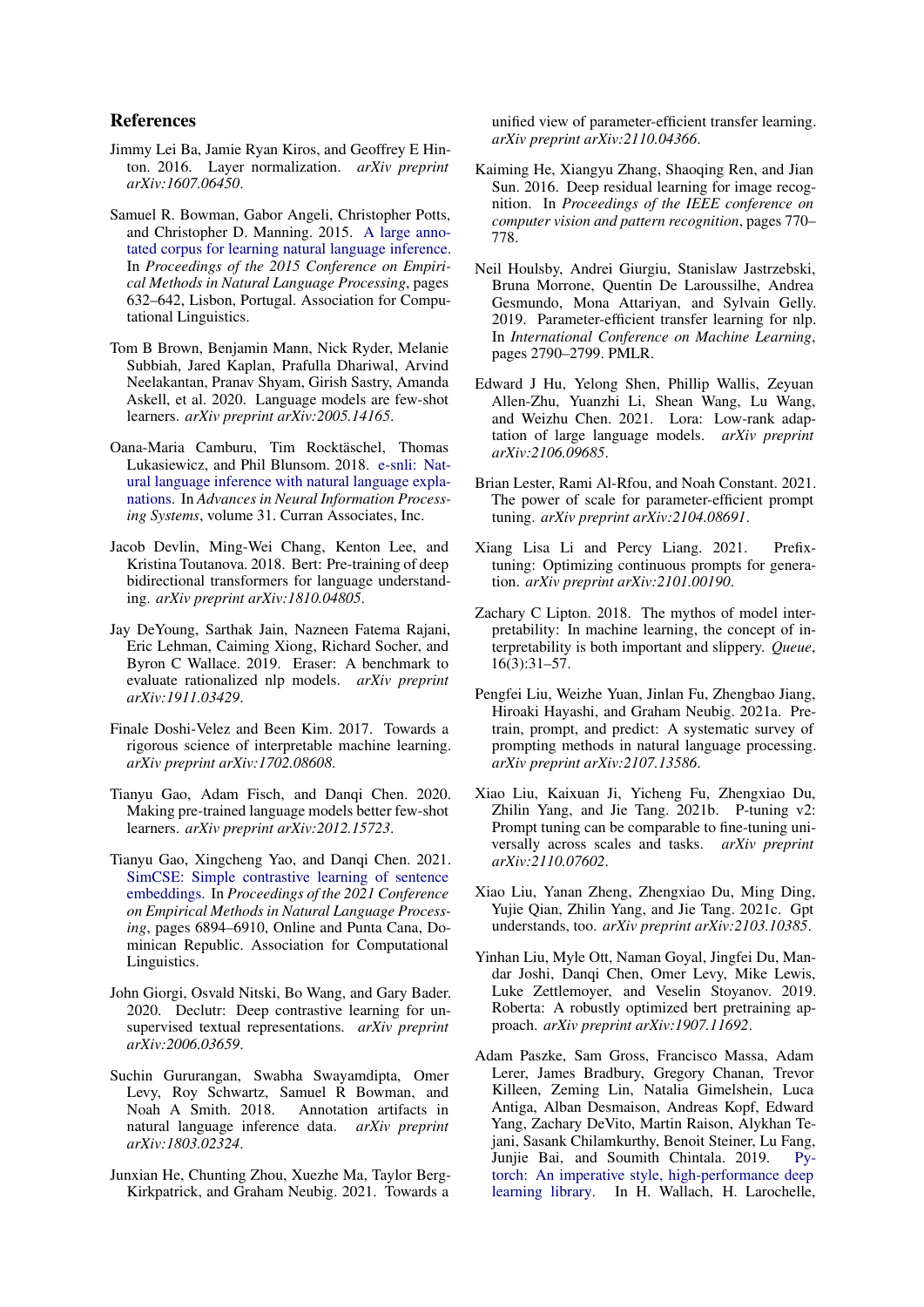### References

- <span id="page-8-22"></span>Jimmy Lei Ba, Jamie Ryan Kiros, and Geoffrey E Hinton. 2016. Layer normalization. *arXiv preprint arXiv:1607.06450*.
- <span id="page-8-17"></span>Samuel R. Bowman, Gabor Angeli, Christopher Potts, and Christopher D. Manning. 2015. [A large anno](https://doi.org/10.18653/v1/D15-1075)[tated corpus for learning natural language inference.](https://doi.org/10.18653/v1/D15-1075) In *Proceedings of the 2015 Conference on Empirical Methods in Natural Language Processing*, pages 632–642, Lisbon, Portugal. Association for Computational Linguistics.
- <span id="page-8-14"></span>Tom B Brown, Benjamin Mann, Nick Ryder, Melanie Subbiah, Jared Kaplan, Prafulla Dhariwal, Arvind Neelakantan, Pranav Shyam, Girish Sastry, Amanda Askell, et al. 2020. Language models are few-shot learners. *arXiv preprint arXiv:2005.14165*.
- <span id="page-8-0"></span>Oana-Maria Camburu, Tim Rocktäschel, Thomas Lukasiewicz, and Phil Blunsom. 2018. [e-snli: Nat](https://proceedings.neurips.cc/paper/2018/file/4c7a167bb329bd92580a99ce422d6fa6-Paper.pdf)[ural language inference with natural language expla](https://proceedings.neurips.cc/paper/2018/file/4c7a167bb329bd92580a99ce422d6fa6-Paper.pdf)[nations.](https://proceedings.neurips.cc/paper/2018/file/4c7a167bb329bd92580a99ce422d6fa6-Paper.pdf) In *Advances in Neural Information Processing Systems*, volume 31. Curran Associates, Inc.
- <span id="page-8-12"></span>Jacob Devlin, Ming-Wei Chang, Kenton Lee, and Kristina Toutanova. 2018. Bert: Pre-training of deep bidirectional transformers for language understanding. *arXiv preprint arXiv:1810.04805*.
- <span id="page-8-4"></span>Jay DeYoung, Sarthak Jain, Nazneen Fatema Rajani, Eric Lehman, Caiming Xiong, Richard Socher, and Byron C Wallace. 2019. Eraser: A benchmark to evaluate rationalized nlp models. *arXiv preprint arXiv:1911.03429*.
- <span id="page-8-2"></span>Finale Doshi-Velez and Been Kim. 2017. Towards a rigorous science of interpretable machine learning. *arXiv preprint arXiv:1702.08608*.
- <span id="page-8-15"></span>Tianyu Gao, Adam Fisch, and Danqi Chen. 2020. Making pre-trained language models better few-shot learners. *arXiv preprint arXiv:2012.15723*.
- <span id="page-8-6"></span>Tianyu Gao, Xingcheng Yao, and Danqi Chen. 2021. [SimCSE: Simple contrastive learning of sentence](https://doi.org/10.18653/v1/2021.emnlp-main.552) [embeddings.](https://doi.org/10.18653/v1/2021.emnlp-main.552) In *Proceedings of the 2021 Conference on Empirical Methods in Natural Language Processing*, pages 6894–6910, Online and Punta Cana, Dominican Republic. Association for Computational Linguistics.
- <span id="page-8-5"></span>John Giorgi, Osvald Nitski, Bo Wang, and Gary Bader. 2020. Declutr: Deep contrastive learning for unsupervised textual representations. *arXiv preprint arXiv:2006.03659*.
- <span id="page-8-1"></span>Suchin Gururangan, Swabha Swayamdipta, Omer Levy, Roy Schwartz, Samuel R Bowman, and Noah A Smith. 2018. Annotation artifacts in natural language inference data. *arXiv preprint arXiv:1803.02324*.
- <span id="page-8-20"></span>Junxian He, Chunting Zhou, Xuezhe Ma, Taylor Berg-Kirkpatrick, and Graham Neubig. 2021. Towards a

unified view of parameter-efficient transfer learning. *arXiv preprint arXiv:2110.04366*.

- <span id="page-8-16"></span>Kaiming He, Xiangyu Zhang, Shaoqing Ren, and Jian Sun. 2016. Deep residual learning for image recognition. In *Proceedings of the IEEE conference on computer vision and pattern recognition*, pages 770– 778.
- <span id="page-8-8"></span>Neil Houlsby, Andrei Giurgiu, Stanislaw Jastrzebski, Bruna Morrone, Quentin De Laroussilhe, Andrea Gesmundo, Mona Attariyan, and Sylvain Gelly. 2019. Parameter-efficient transfer learning for nlp. In *International Conference on Machine Learning*, pages 2790–2799. PMLR.
- <span id="page-8-21"></span>Edward J Hu, Yelong Shen, Phillip Wallis, Zeyuan Allen-Zhu, Yuanzhi Li, Shean Wang, Lu Wang, and Weizhu Chen. 2021. Lora: Low-rank adaptation of large language models. *arXiv preprint arXiv:2106.09685*.
- <span id="page-8-10"></span>Brian Lester, Rami Al-Rfou, and Noah Constant. 2021. The power of scale for parameter-efficient prompt tuning. *arXiv preprint arXiv:2104.08691*.
- <span id="page-8-9"></span>Xiang Lisa Li and Percy Liang. 2021. Prefixtuning: Optimizing continuous prompts for generation. *arXiv preprint arXiv:2101.00190*.
- <span id="page-8-3"></span>Zachary C Lipton. 2018. The mythos of model interpretability: In machine learning, the concept of interpretability is both important and slippery. *Queue*, 16(3):31–57.
- <span id="page-8-7"></span>Pengfei Liu, Weizhe Yuan, Jinlan Fu, Zhengbao Jiang, Hiroaki Hayashi, and Graham Neubig. 2021a. Pretrain, prompt, and predict: A systematic survey of prompting methods in natural language processing. *arXiv preprint arXiv:2107.13586*.
- <span id="page-8-13"></span>Xiao Liu, Kaixuan Ji, Yicheng Fu, Zhengxiao Du, Zhilin Yang, and Jie Tang. 2021b. P-tuning v2: Prompt tuning can be comparable to fine-tuning universally across scales and tasks. *arXiv preprint arXiv:2110.07602*.
- <span id="page-8-19"></span>Xiao Liu, Yanan Zheng, Zhengxiao Du, Ming Ding, Yujie Qian, Zhilin Yang, and Jie Tang. 2021c. Gpt understands, too. *arXiv preprint arXiv:2103.10385*.
- <span id="page-8-11"></span>Yinhan Liu, Myle Ott, Naman Goyal, Jingfei Du, Mandar Joshi, Danqi Chen, Omer Levy, Mike Lewis, Luke Zettlemoyer, and Veselin Stoyanov. 2019. Roberta: A robustly optimized bert pretraining approach. *arXiv preprint arXiv:1907.11692*.
- <span id="page-8-18"></span>Adam Paszke, Sam Gross, Francisco Massa, Adam Lerer, James Bradbury, Gregory Chanan, Trevor Killeen, Zeming Lin, Natalia Gimelshein, Luca Antiga, Alban Desmaison, Andreas Kopf, Edward Yang, Zachary DeVito, Martin Raison, Alykhan Tejani, Sasank Chilamkurthy, Benoit Steiner, Lu Fang, Junjie Bai, and Soumith Chintala. 2019. [Py](http://papers.neurips.cc/paper/9015-pytorch-an-imperative-style-high-performance-deep-learning-library.pdf)[torch: An imperative style, high-performance deep](http://papers.neurips.cc/paper/9015-pytorch-an-imperative-style-high-performance-deep-learning-library.pdf) [learning library.](http://papers.neurips.cc/paper/9015-pytorch-an-imperative-style-high-performance-deep-learning-library.pdf) In H. Wallach, H. Larochelle,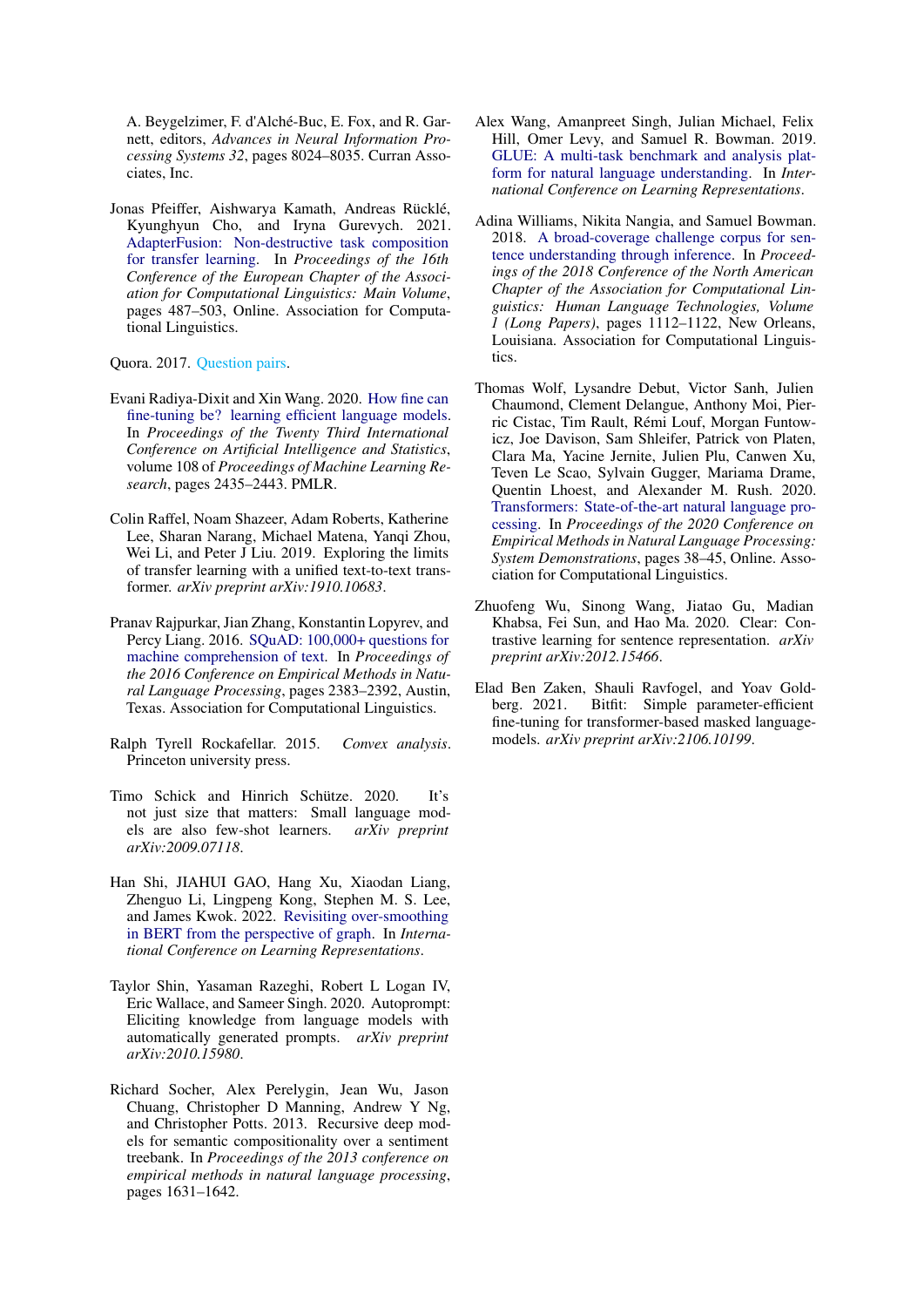A. Beygelzimer, F. d'Alché-Buc, E. Fox, and R. Garnett, editors, *Advances in Neural Information Processing Systems 32*, pages 8024–8035. Curran Associates, Inc.

<span id="page-9-13"></span>Jonas Pfeiffer, Aishwarya Kamath, Andreas Rücklé, Kyunghyun Cho, and Iryna Gurevych. 2021. [AdapterFusion: Non-destructive task composition](https://doi.org/10.18653/v1/2021.eacl-main.39) [for transfer learning.](https://doi.org/10.18653/v1/2021.eacl-main.39) In *Proceedings of the 16th Conference of the European Chapter of the Association for Computational Linguistics: Main Volume*, pages 487–503, Online. Association for Computational Linguistics.

<span id="page-9-7"></span>Quora. 2017. [Question pairs.](#page-0-0)

- <span id="page-9-14"></span>Evani Radiya-Dixit and Xin Wang. 2020. [How fine can](https://proceedings.mlr.press/v108/radiya-dixit20a.html) [fine-tuning be? learning efficient language models.](https://proceedings.mlr.press/v108/radiya-dixit20a.html) In *Proceedings of the Twenty Third International Conference on Artificial Intelligence and Statistics*, volume 108 of *Proceedings of Machine Learning Research*, pages 2435–2443. PMLR.
- <span id="page-9-2"></span>Colin Raffel, Noam Shazeer, Adam Roberts, Katherine Lee, Sharan Narang, Michael Matena, Yanqi Zhou, Wei Li, and Peter J Liu. 2019. Exploring the limits of transfer learning with a unified text-to-text transformer. *arXiv preprint arXiv:1910.10683*.
- <span id="page-9-6"></span>Pranav Rajpurkar, Jian Zhang, Konstantin Lopyrev, and Percy Liang. 2016. [SQuAD: 100,000+ questions for](https://doi.org/10.18653/v1/D16-1264) [machine comprehension of text.](https://doi.org/10.18653/v1/D16-1264) In *Proceedings of the 2016 Conference on Empirical Methods in Natural Language Processing*, pages 2383–2392, Austin, Texas. Association for Computational Linguistics.
- <span id="page-9-1"></span>Ralph Tyrell Rockafellar. 2015. *Convex analysis*. Princeton university press.
- <span id="page-9-11"></span>Timo Schick and Hinrich Schütze. 2020. It's not just size that matters: Small language models are also few-shot learners. *arXiv preprint arXiv:2009.07118*.
- <span id="page-9-3"></span>Han Shi, JIAHUI GAO, Hang Xu, Xiaodan Liang, Zhenguo Li, Lingpeng Kong, Stephen M. S. Lee, and James Kwok. 2022. [Revisiting over-smoothing](https://openreview.net/forum?id=dUV91uaXm3) [in BERT from the perspective of graph.](https://openreview.net/forum?id=dUV91uaXm3) In *International Conference on Learning Representations*.
- <span id="page-9-12"></span>Taylor Shin, Yasaman Razeghi, Robert L Logan IV, Eric Wallace, and Sameer Singh. 2020. Autoprompt: Eliciting knowledge from language models with automatically generated prompts. *arXiv preprint arXiv:2010.15980*.
- <span id="page-9-8"></span>Richard Socher, Alex Perelygin, Jean Wu, Jason Chuang, Christopher D Manning, Andrew Y Ng, and Christopher Potts. 2013. Recursive deep models for semantic compositionality over a sentiment treebank. In *Proceedings of the 2013 conference on empirical methods in natural language processing*, pages 1631–1642.
- <span id="page-9-4"></span>Alex Wang, Amanpreet Singh, Julian Michael, Felix Hill, Omer Levy, and Samuel R. Bowman. 2019. [GLUE: A multi-task benchmark and analysis plat](https://openreview.net/forum?id=rJ4km2R5t7)[form for natural language understanding.](https://openreview.net/forum?id=rJ4km2R5t7) In *International Conference on Learning Representations*.
- <span id="page-9-5"></span>Adina Williams, Nikita Nangia, and Samuel Bowman. 2018. [A broad-coverage challenge corpus for sen](https://doi.org/10.18653/v1/N18-1101)[tence understanding through inference.](https://doi.org/10.18653/v1/N18-1101) In *Proceedings of the 2018 Conference of the North American Chapter of the Association for Computational Linguistics: Human Language Technologies, Volume 1 (Long Papers)*, pages 1112–1122, New Orleans, Louisiana. Association for Computational Linguistics.
- <span id="page-9-10"></span>Thomas Wolf, Lysandre Debut, Victor Sanh, Julien Chaumond, Clement Delangue, Anthony Moi, Pierric Cistac, Tim Rault, Rémi Louf, Morgan Funtowicz, Joe Davison, Sam Shleifer, Patrick von Platen, Clara Ma, Yacine Jernite, Julien Plu, Canwen Xu, Teven Le Scao, Sylvain Gugger, Mariama Drame, Quentin Lhoest, and Alexander M. Rush. 2020. [Transformers: State-of-the-art natural language pro](https://www.aclweb.org/anthology/2020.emnlp-demos.6)[cessing.](https://www.aclweb.org/anthology/2020.emnlp-demos.6) In *Proceedings of the 2020 Conference on Empirical Methods in Natural Language Processing: System Demonstrations*, pages 38–45, Online. Association for Computational Linguistics.
- <span id="page-9-0"></span>Zhuofeng Wu, Sinong Wang, Jiatao Gu, Madian Khabsa, Fei Sun, and Hao Ma. 2020. Clear: Contrastive learning for sentence representation. *arXiv preprint arXiv:2012.15466*.
- <span id="page-9-9"></span>Elad Ben Zaken, Shauli Ravfogel, and Yoav Goldberg. 2021. Bitfit: Simple parameter-efficient fine-tuning for transformer-based masked languagemodels. *arXiv preprint arXiv:2106.10199*.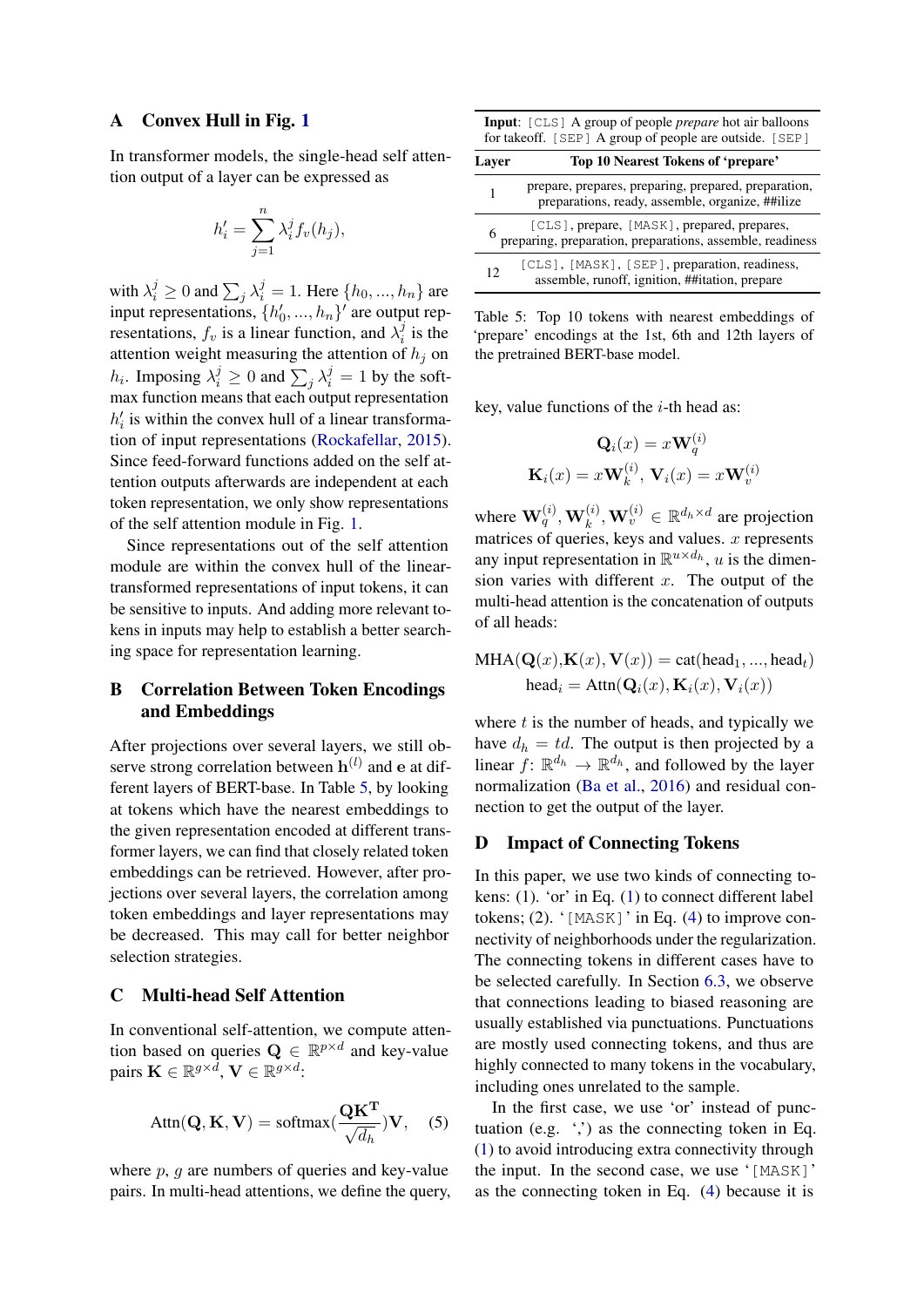### <span id="page-10-0"></span>A Convex Hull in Fig. [1](#page-2-0)

In transformer models, the single-head self attention output of a layer can be expressed as

$$
h_i' = \sum_{j=1}^n \lambda_i^j f_v(h_j),
$$

with  $\lambda_i^j \ge 0$  and  $\sum_j \lambda_i^j = 1$ . Here  $\{h_0, ..., h_n\}$  are input representations,  $\{h'_0, ..., h_n\}'$  are output representations,  $f_v$  is a linear function, and  $\lambda_i^j$  $i$  is the attention weight measuring the attention of  $h_j$  on  $h_i$ . Imposing  $\lambda_i^j \geq 0$  and  $\sum_j \lambda_i^j = 1$  by the softmax function means that each output representation  $h'_i$  is within the convex hull of a linear transformation of input representations [\(Rockafellar,](#page-9-1) [2015\)](#page-9-1). Since feed-forward functions added on the self attention outputs afterwards are independent at each token representation, we only show representations of the self attention module in Fig. [1.](#page-2-0)

Since representations out of the self attention module are within the convex hull of the lineartransformed representations of input tokens, it can be sensitive to inputs. And adding more relevant tokens in inputs may help to establish a better searching space for representation learning.

# <span id="page-10-1"></span>B Correlation Between Token Encodings and Embeddings

After projections over several layers, we still observe strong correlation between  $h^{(l)}$  and e at different layers of BERT-base. In Table [5,](#page-10-4) by looking at tokens which have the nearest embeddings to the given representation encoded at different transformer layers, we can find that closely related token embeddings can be retrieved. However, after projections over several layers, the correlation among token embeddings and layer representations may be decreased. This may call for better neighbor selection strategies.

## <span id="page-10-2"></span>C Multi-head Self Attention

In conventional self-attention, we compute attention based on queries  $\mathbf{Q} \in \mathbb{R}^{p \times d}$  and key-value pairs  $\mathbf{K} \in \mathbb{R}^{g \times \bar{d}}, \mathbf{V} \in \mathbb{R}^{g \times d}$ :

$$
Attn(\mathbf{Q}, \mathbf{K}, \mathbf{V}) = softmax(\frac{\mathbf{Q}\mathbf{K}^{\mathbf{T}}}{\sqrt{d_h}})\mathbf{V}, \quad (5)
$$

where  $p$ ,  $q$  are numbers of queries and key-value pairs. In multi-head attentions, we define the query,

<span id="page-10-4"></span>Input: [CLS] A group of people *prepare* hot air balloons for takeoff. [SEP] A group of people are outside. [SEP]

| Layer | Top 10 Nearest Tokens of 'prepare'                                                                                   |
|-------|----------------------------------------------------------------------------------------------------------------------|
|       | prepare, prepares, preparing, prepared, preparation,<br>preparations, ready, assemble, organize, ##ilize             |
|       | <sup>[CLS]</sup> , prepare, [MASK], prepared, prepares,<br>preparing, preparation, preparations, assemble, readiness |
| 12    | [CLS], [MASK], [SEP], preparation, readiness,<br>assemble, runoff, ignition, ##itation, prepare                      |

Table 5: Top 10 tokens with nearest embeddings of 'prepare' encodings at the 1st, 6th and 12th layers of the pretrained BERT-base model.

key, value functions of the  $i$ -th head as:

$$
\mathbf{Q}_i(x) = x\mathbf{W}_q^{(i)}
$$

$$
\mathbf{K}_i(x) = x\mathbf{W}_k^{(i)}, \mathbf{V}_i(x) = x\mathbf{W}_v^{(i)}
$$

where  $\mathbf{W}_q^{(i)}, \mathbf{W}_k^{(i)}, \mathbf{W}_v^{(i)} \in \mathbb{R}^{d_h \times d}$  are projection matrices of queries, keys and values.  $x$  represents any input representation in  $\mathbb{R}^{u \times d_h}$ , u is the dimension varies with different  $x$ . The output of the multi-head attention is the concatenation of outputs of all heads:

$$
MHA(\mathbf{Q}(x), \mathbf{K}(x), \mathbf{V}(x)) = \text{cat}(\text{head}_1, ..., \text{head}_t)
$$
  
head<sub>i</sub> = Attn( $\mathbf{Q}_i(x), \mathbf{K}_i(x), \mathbf{V}_i(x)$ )

where  $t$  is the number of heads, and typically we have  $d_h = td$ . The output is then projected by a linear  $f: \mathbb{R}^{d_h} \to \mathbb{R}^{d_h}$ , and followed by the layer normalization [\(Ba et al.,](#page-8-22) [2016\)](#page-8-22) and residual connection to get the output of the layer.

#### <span id="page-10-3"></span>D Impact of Connecting Tokens

In this paper, we use two kinds of connecting tokens: (1). 'or' in Eq. [\(1\)](#page-2-2) to connect different label tokens; (2). '[MASK]' in Eq. [\(4\)](#page-4-1) to improve connectivity of neighborhoods under the regularization. The connecting tokens in different cases have to be selected carefully. In Section [6.3,](#page-5-1) we observe that connections leading to biased reasoning are usually established via punctuations. Punctuations are mostly used connecting tokens, and thus are highly connected to many tokens in the vocabulary, including ones unrelated to the sample.

In the first case, we use 'or' instead of punctuation (e.g.  $\cdot$ ; ) as the connecting token in Eq. [\(1\)](#page-2-2) to avoid introducing extra connectivity through the input. In the second case, we use '[MASK]' as the connecting token in Eq. [\(4\)](#page-4-1) because it is